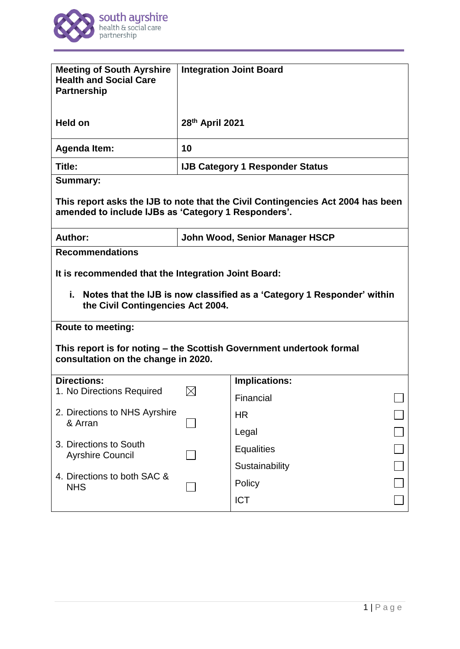

| <b>Meeting of South Ayrshire</b><br><b>Health and Social Care</b><br><b>Partnership</b>                                                | <b>Integration Joint Board</b>         |                      |  |
|----------------------------------------------------------------------------------------------------------------------------------------|----------------------------------------|----------------------|--|
| <b>Held on</b>                                                                                                                         | 28th April 2021                        |                      |  |
| <b>Agenda Item:</b>                                                                                                                    | 10                                     |                      |  |
| Title:                                                                                                                                 | <b>IJB Category 1 Responder Status</b> |                      |  |
| <b>Summary:</b>                                                                                                                        |                                        |                      |  |
| This report asks the IJB to note that the Civil Contingencies Act 2004 has been<br>amended to include IJBs as 'Category 1 Responders'. |                                        |                      |  |
| Author:                                                                                                                                | John Wood, Senior Manager HSCP         |                      |  |
| <b>Recommendations</b>                                                                                                                 |                                        |                      |  |
| It is recommended that the Integration Joint Board:                                                                                    |                                        |                      |  |
| i.,<br>Notes that the IJB is now classified as a 'Category 1 Responder' within<br>the Civil Contingencies Act 2004.                    |                                        |                      |  |
| <b>Route to meeting:</b>                                                                                                               |                                        |                      |  |
| This report is for noting – the Scottish Government undertook formal<br>consultation on the change in 2020.                            |                                        |                      |  |
| <b>Directions:</b>                                                                                                                     |                                        | <b>Implications:</b> |  |
| 1. No Directions Required                                                                                                              |                                        | Financial            |  |
| 2. Directions to NHS Ayrshire<br>& Arran                                                                                               |                                        | <b>HR</b>            |  |
|                                                                                                                                        |                                        | Legal                |  |
| 3. Directions to South<br><b>Ayrshire Council</b><br>4. Directions to both SAC &<br><b>NHS</b>                                         |                                        | <b>Equalities</b>    |  |
|                                                                                                                                        |                                        | Sustainability       |  |
|                                                                                                                                        |                                        | Policy               |  |
|                                                                                                                                        |                                        | <b>ICT</b>           |  |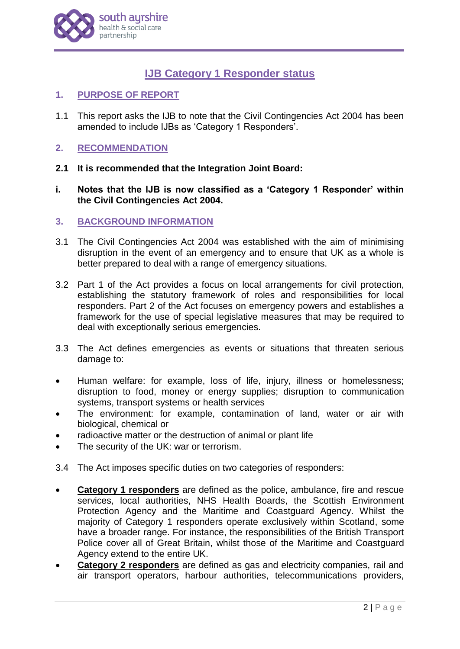

# **IJB Category 1 Responder status**

- **1. PURPOSE OF REPORT**
- 1.1 This report asks the IJB to note that the Civil Contingencies Act 2004 has been amended to include IJBs as 'Category 1 Responders'.

# **2. RECOMMENDATION**

- **2.1 It is recommended that the Integration Joint Board:**
- **i. Notes that the IJB is now classified as a 'Category 1 Responder' within the Civil Contingencies Act 2004.**

# **3. BACKGROUND INFORMATION**

- 3.1 The Civil Contingencies Act 2004 was established with the aim of minimising disruption in the event of an emergency and to ensure that UK as a whole is better prepared to deal with a range of emergency situations.
- 3.2 Part 1 of the Act provides a focus on local arrangements for civil protection, establishing the statutory framework of roles and responsibilities for local responders. Part 2 of the Act focuses on emergency powers and establishes a framework for the use of special legislative measures that may be required to deal with exceptionally serious emergencies.
- 3.3 The Act defines emergencies as events or situations that threaten serious damage to:
- Human welfare: for example, loss of life, injury, illness or homelessness; disruption to food, money or energy supplies; disruption to communication systems, transport systems or health services
- The environment: for example, contamination of land, water or air with biological, chemical or
- radioactive matter or the destruction of animal or plant life
- The security of the UK: war or terrorism.
- 3.4 The Act imposes specific duties on two categories of responders:
- **Category 1 responders** are defined as the police, ambulance, fire and rescue services, local authorities, NHS Health Boards, the Scottish Environment Protection Agency and the Maritime and Coastguard Agency. Whilst the majority of Category 1 responders operate exclusively within Scotland, some have a broader range. For instance, the responsibilities of the British Transport Police cover all of Great Britain, whilst those of the Maritime and Coastguard Agency extend to the entire UK.
- **Category 2 responders** are defined as gas and electricity companies, rail and air transport operators, harbour authorities, telecommunications providers,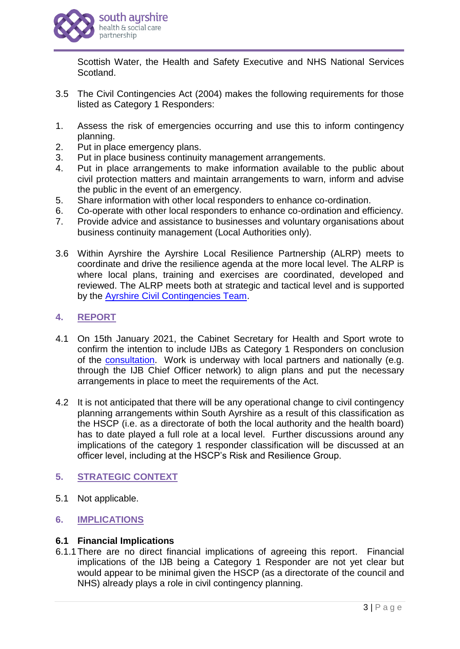

Scottish Water, the Health and Safety Executive and NHS National Services Scotland.

- 3.5 The Civil Contingencies Act (2004) makes the following requirements for those listed as Category 1 Responders:
- 1. Assess the risk of emergencies occurring and use this to inform contingency planning.
- 2. Put in place emergency plans.
- 3. Put in place business continuity management arrangements.
- 4. Put in place arrangements to make information available to the public about civil protection matters and maintain arrangements to warn, inform and advise the public in the event of an emergency.
- 5. Share information with other local responders to enhance co-ordination.
- 6. Co-operate with other local responders to enhance co-ordination and efficiency.
- 7. Provide advice and assistance to businesses and voluntary organisations about business continuity management (Local Authorities only).
- 3.6 Within Ayrshire the Ayrshire Local Resilience Partnership (ALRP) meets to coordinate and drive the resilience agenda at the more local level. The ALRP is where local plans, training and exercises are coordinated, developed and reviewed. The ALRP meets both at strategic and tactical level and is supported by the [Ayrshire Civil Contingencies Team.](https://ww20.south-ayrshire.gov.uk/ext/committee/committeepapers2018/Ayrshire%20Shared%20Services/7%20December%202018/AG05%20ACCT%20Service%20Plan%20-%202019%2020%20-%20Appendix%201%20v%203%20-%2013.11.18.pdf)

# **4. REPORT**

- 4.1 On 15th January 2021, the Cabinet Secretary for Health and Sport wrote to confirm the intention to include IJBs as Category 1 Responders on conclusion of the [consultation.](https://www.gov.scot/publications/consultation-amend-civil-contingencies-act-2004-include-integration-joint-boards-government-response/) Work is underway with local partners and nationally (e.g. through the IJB Chief Officer network) to align plans and put the necessary arrangements in place to meet the requirements of the Act.
- 4.2 It is not anticipated that there will be any operational change to civil contingency planning arrangements within South Ayrshire as a result of this classification as the HSCP (i.e. as a directorate of both the local authority and the health board) has to date played a full role at a local level. Further discussions around any implications of the category 1 responder classification will be discussed at an officer level, including at the HSCP's Risk and Resilience Group.

# **5. STRATEGIC CONTEXT**

5.1 Not applicable.

# **6. IMPLICATIONS**

#### **6.1 Financial Implications**

6.1.1There are no direct financial implications of agreeing this report. Financial implications of the IJB being a Category 1 Responder are not yet clear but would appear to be minimal given the HSCP (as a directorate of the council and NHS) already plays a role in civil contingency planning.